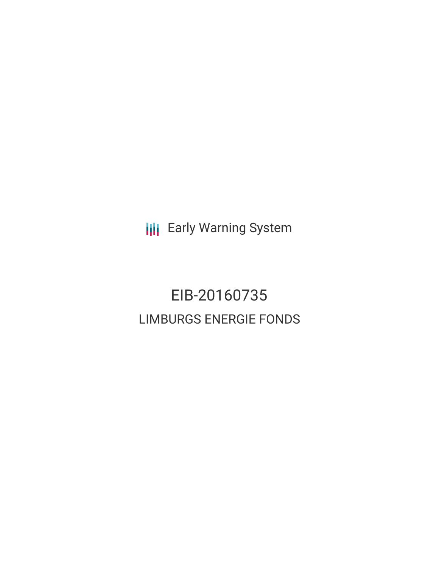**III** Early Warning System

# EIB-20160735 LIMBURGS ENERGIE FONDS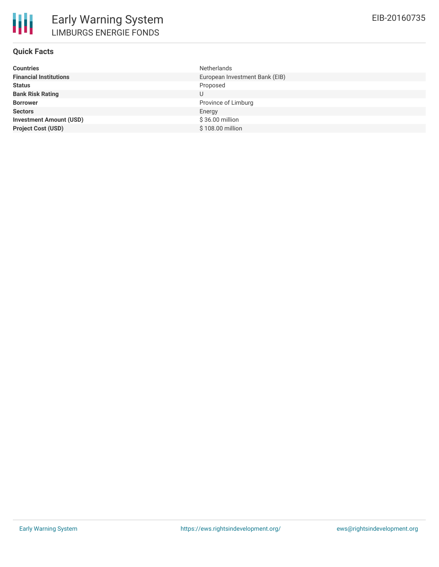

## **Quick Facts**

| Netherlands                    |
|--------------------------------|
| European Investment Bank (EIB) |
| Proposed                       |
| U                              |
| Province of Limburg            |
| Energy                         |
| \$36.00 million                |
| \$108.00 million               |
|                                |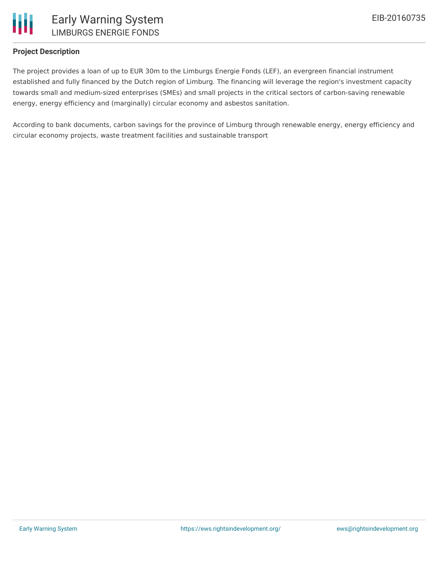

## **Project Description**

The project provides a loan of up to EUR 30m to the Limburgs Energie Fonds (LEF), an evergreen financial instrument established and fully financed by the Dutch region of Limburg. The financing will leverage the region's investment capacity towards small and medium-sized enterprises (SMEs) and small projects in the critical sectors of carbon-saving renewable energy, energy efficiency and (marginally) circular economy and asbestos sanitation.

According to bank documents, carbon savings for the province of Limburg through renewable energy, energy efficiency and circular economy projects, waste treatment facilities and sustainable transport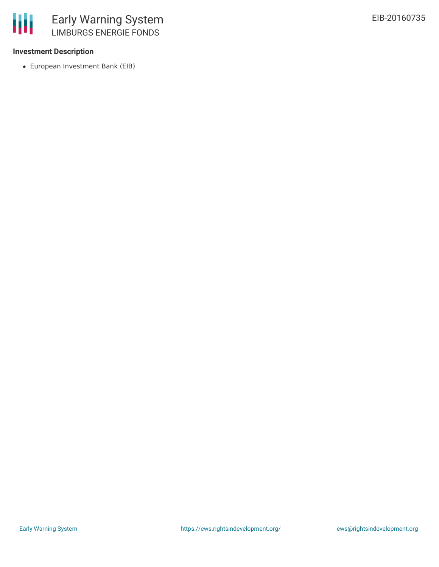

#### **Investment Description**

European Investment Bank (EIB)